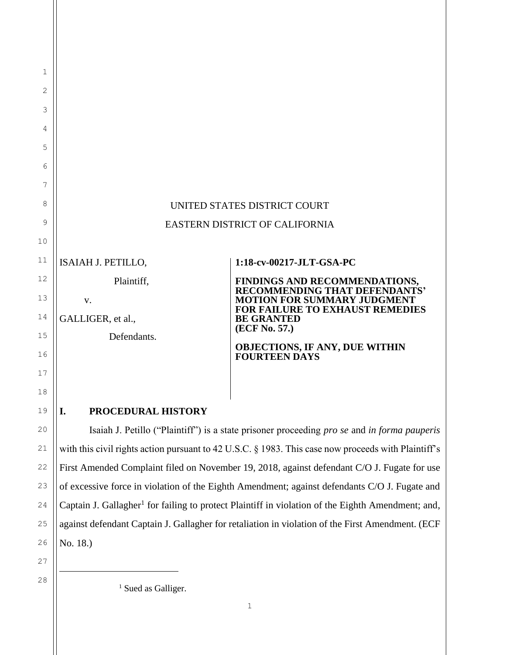# UNITED STATES DISTRICT COURT EASTERN DISTRICT OF CALIFORNIA

ISAIAH J. PETILLO,

1

2

3

4

5

6

7

8

9

10

11

12

13

14

15

16

17

18

19

20

21

22

23

24

25

26

Plaintiff,

v.

GALLIGER, et al.,

Defendants.

## **1:18-cv-00217-JLT-GSA-PC**

**FINDINGS AND RECOMMENDATIONS, RECOMMENDING THAT DEFENDANTS' MOTION FOR SUMMARY JUDGMENT FOR FAILURE TO EXHAUST REMEDIES BE GRANTED (ECF No. 57.)**

## **OBJECTIONS, IF ANY, DUE WITHIN FOURTEEN DAYS**

## **I. PROCEDURAL HISTORY**

Isaiah J. Petillo ("Plaintiff") is a state prisoner proceeding *pro se* and *in forma pauperis* with this civil rights action pursuant to 42 U.S.C. § 1983. This case now proceeds with Plaintiff's First Amended Complaint filed on November 19, 2018, against defendant C/O J. Fugate for use of excessive force in violation of the Eighth Amendment; against defendants C/O J. Fugate and Captain J. Gallagher<sup>1</sup> for failing to protect Plaintiff in violation of the Eighth Amendment; and, against defendant Captain J. Gallagher for retaliation in violation of the First Amendment. (ECF No. 18.)

27 28

<sup>1</sup> Sued as Galliger.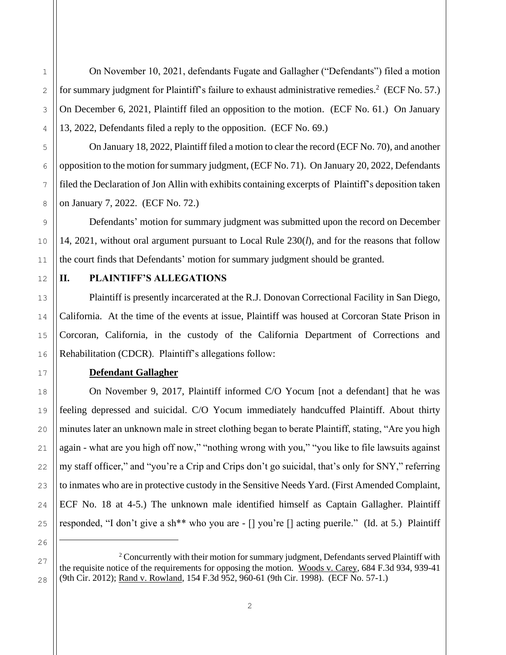On November 10, 2021, defendants Fugate and Gallagher ("Defendants") filed a motion for summary judgment for Plaintiff's failure to exhaust administrative remedies.<sup>2</sup> (ECF No. 57.) On December 6, 2021, Plaintiff filed an opposition to the motion. (ECF No. 61.) On January 13, 2022, Defendants filed a reply to the opposition. (ECF No. 69.)

On January 18, 2022, Plaintiff filed a motion to clear the record (ECF No. 70), and another opposition to the motion for summary judgment, (ECF No. 71). On January 20, 2022, Defendants filed the Declaration of Jon Allin with exhibits containing excerpts of Plaintiff's deposition taken on January 7, 2022. (ECF No. 72.)

Defendants' motion for summary judgment was submitted upon the record on December 14, 2021, without oral argument pursuant to Local Rule 230(*l*), and for the reasons that follow the court finds that Defendants' motion for summary judgment should be granted.

## **II. PLAINTIFF'S ALLEGATIONS**

Plaintiff is presently incarcerated at the R.J. Donovan Correctional Facility in San Diego, California. At the time of the events at issue, Plaintiff was housed at Corcoran State Prison in Corcoran, California, in the custody of the California Department of Corrections and Rehabilitation (CDCR). Plaintiff's allegations follow:

## **Defendant Gallagher**

On November 9, 2017, Plaintiff informed C/O Yocum [not a defendant] that he was feeling depressed and suicidal. C/O Yocum immediately handcuffed Plaintiff. About thirty minutes later an unknown male in street clothing began to berate Plaintiff, stating, "Are you high again - what are you high off now," "nothing wrong with you," "you like to file lawsuits against my staff officer," and "you're a Crip and Crips don't go suicidal, that's only for SNY," referring to inmates who are in protective custody in the Sensitive Needs Yard. (First Amended Complaint, ECF No. 18 at 4-5.) The unknown male identified himself as Captain Gallagher. Plaintiff responded, "I don't give a sh\*\* who you are - [] you're [] acting puerile." (Id. at 5.) Plaintiff

<sup>2</sup> Concurrently with their motion for summary judgment, Defendants served Plaintiff with the requisite notice of the requirements for opposing the motion. Woods v. Carey, 684 F.3d 934, 939-41 (9th Cir. 2012); Rand v. Rowland, 154 F.3d 952, 960-61 (9th Cir. 1998). (ECF No. 57-1.)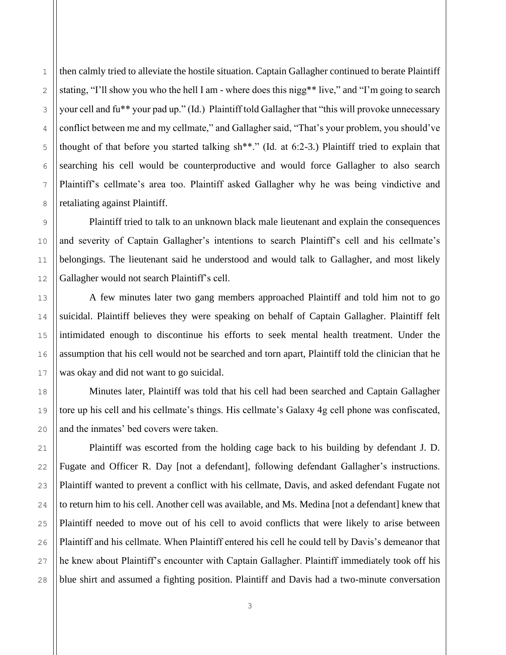then calmly tried to alleviate the hostile situation. Captain Gallagher continued to berate Plaintiff stating, "I'll show you who the hell I am - where does this nigg\*\* live," and "I'm going to search your cell and fu\*\* your pad up." (Id.) Plaintiff told Gallagher that "this will provoke unnecessary conflict between me and my cellmate," and Gallagher said, "That's your problem, you should've thought of that before you started talking sh\*\*." (Id. at 6:2-3.) Plaintiff tried to explain that searching his cell would be counterproductive and would force Gallagher to also search Plaintiff's cellmate's area too. Plaintiff asked Gallagher why he was being vindictive and retaliating against Plaintiff.

Plaintiff tried to talk to an unknown black male lieutenant and explain the consequences and severity of Captain Gallagher's intentions to search Plaintiff's cell and his cellmate's belongings. The lieutenant said he understood and would talk to Gallagher, and most likely Gallagher would not search Plaintiff's cell.

A few minutes later two gang members approached Plaintiff and told him not to go suicidal. Plaintiff believes they were speaking on behalf of Captain Gallagher. Plaintiff felt intimidated enough to discontinue his efforts to seek mental health treatment. Under the assumption that his cell would not be searched and torn apart, Plaintiff told the clinician that he was okay and did not want to go suicidal.

Minutes later, Plaintiff was told that his cell had been searched and Captain Gallagher tore up his cell and his cellmate's things. His cellmate's Galaxy 4g cell phone was confiscated, and the inmates' bed covers were taken.

Plaintiff was escorted from the holding cage back to his building by defendant J. D. Fugate and Officer R. Day [not a defendant], following defendant Gallagher's instructions. Plaintiff wanted to prevent a conflict with his cellmate, Davis, and asked defendant Fugate not to return him to his cell. Another cell was available, and Ms. Medina [not a defendant] knew that Plaintiff needed to move out of his cell to avoid conflicts that were likely to arise between Plaintiff and his cellmate. When Plaintiff entered his cell he could tell by Davis's demeanor that he knew about Plaintiff's encounter with Captain Gallagher. Plaintiff immediately took off his blue shirt and assumed a fighting position. Plaintiff and Davis had a two-minute conversation

1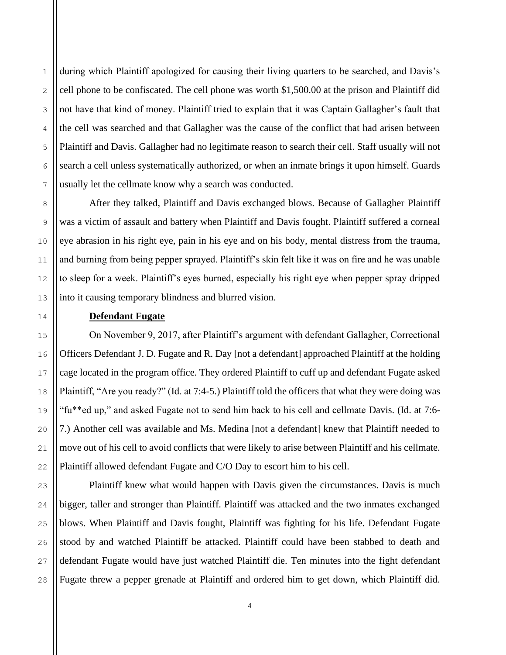during which Plaintiff apologized for causing their living quarters to be searched, and Davis's cell phone to be confiscated. The cell phone was worth \$1,500.00 at the prison and Plaintiff did not have that kind of money. Plaintiff tried to explain that it was Captain Gallagher's fault that the cell was searched and that Gallagher was the cause of the conflict that had arisen between Plaintiff and Davis. Gallagher had no legitimate reason to search their cell. Staff usually will not search a cell unless systematically authorized, or when an inmate brings it upon himself. Guards usually let the cellmate know why a search was conducted.

After they talked, Plaintiff and Davis exchanged blows. Because of Gallagher Plaintiff was a victim of assault and battery when Plaintiff and Davis fought. Plaintiff suffered a corneal eye abrasion in his right eye, pain in his eye and on his body, mental distress from the trauma, and burning from being pepper sprayed. Plaintiff's skin felt like it was on fire and he was unable to sleep for a week. Plaintiff's eyes burned, especially his right eye when pepper spray dripped into it causing temporary blindness and blurred vision.

## **Defendant Fugate**

On November 9, 2017, after Plaintiff's argument with defendant Gallagher, Correctional Officers Defendant J. D. Fugate and R. Day [not a defendant] approached Plaintiff at the holding cage located in the program office. They ordered Plaintiff to cuff up and defendant Fugate asked Plaintiff, "Are you ready?" (Id. at 7:4-5.) Plaintiff told the officers that what they were doing was "fu\*\*ed up," and asked Fugate not to send him back to his cell and cellmate Davis. (Id. at 7:6- 7.) Another cell was available and Ms. Medina [not a defendant] knew that Plaintiff needed to move out of his cell to avoid conflicts that were likely to arise between Plaintiff and his cellmate. Plaintiff allowed defendant Fugate and C/O Day to escort him to his cell.

Plaintiff knew what would happen with Davis given the circumstances. Davis is much bigger, taller and stronger than Plaintiff. Plaintiff was attacked and the two inmates exchanged blows. When Plaintiff and Davis fought, Plaintiff was fighting for his life. Defendant Fugate stood by and watched Plaintiff be attacked. Plaintiff could have been stabbed to death and defendant Fugate would have just watched Plaintiff die. Ten minutes into the fight defendant Fugate threw a pepper grenade at Plaintiff and ordered him to get down, which Plaintiff did.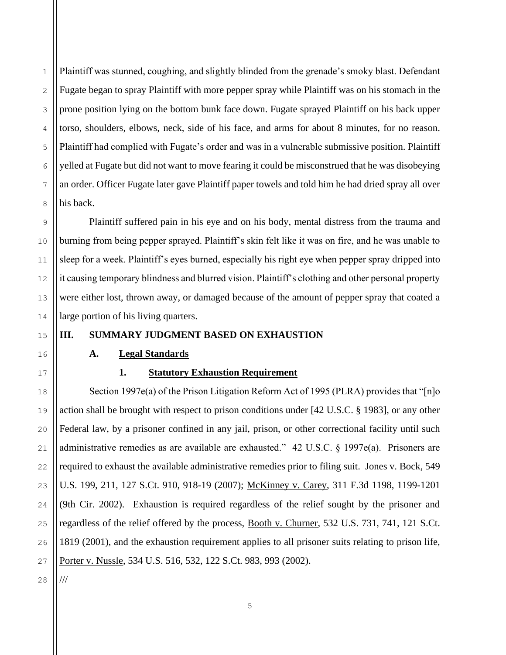Plaintiff was stunned, coughing, and slightly blinded from the grenade's smoky blast. Defendant Fugate began to spray Plaintiff with more pepper spray while Plaintiff was on his stomach in the prone position lying on the bottom bunk face down. Fugate sprayed Plaintiff on his back upper torso, shoulders, elbows, neck, side of his face, and arms for about 8 minutes, for no reason. Plaintiff had complied with Fugate's order and was in a vulnerable submissive position. Plaintiff yelled at Fugate but did not want to move fearing it could be misconstrued that he was disobeying an order. Officer Fugate later gave Plaintiff paper towels and told him he had dried spray all over his back.

Plaintiff suffered pain in his eye and on his body, mental distress from the trauma and burning from being pepper sprayed. Plaintiff's skin felt like it was on fire, and he was unable to sleep for a week. Plaintiff's eyes burned, especially his right eye when pepper spray dripped into it causing temporary blindness and blurred vision. Plaintiff's clothing and other personal property were either lost, thrown away, or damaged because of the amount of pepper spray that coated a large portion of his living quarters.

## **III. SUMMARY JUDGMENT BASED ON EXHAUSTION**

#### **A. Legal Standards**

## **1. Statutory Exhaustion Requirement**

Section 1997e(a) of the Prison Litigation Reform Act of 1995 (PLRA) provides that "[n]o action shall be brought with respect to prison conditions under [42 U.S.C. § 1983], or any other Federal law, by a prisoner confined in any jail, prison, or other correctional facility until such administrative remedies as are available are exhausted." 42 U.S.C. § 1997e(a). Prisoners are required to exhaust the available administrative remedies prior to filing suit. Jones v. Bock, 549 U.S. 199, 211, 127 S.Ct. 910, 918-19 (2007); McKinney v. Carey, 311 F.3d 1198, 1199-1201 (9th Cir. 2002). Exhaustion is required regardless of the relief sought by the prisoner and regardless of the relief offered by the process, Booth v. Churner, 532 U.S. 731, 741, 121 S.Ct. 1819 (2001), and the exhaustion requirement applies to all prisoner suits relating to prison life, Porter v. Nussle, 534 U.S. 516, 532, 122 S.Ct. 983, 993 (2002).

///

1

2

3

4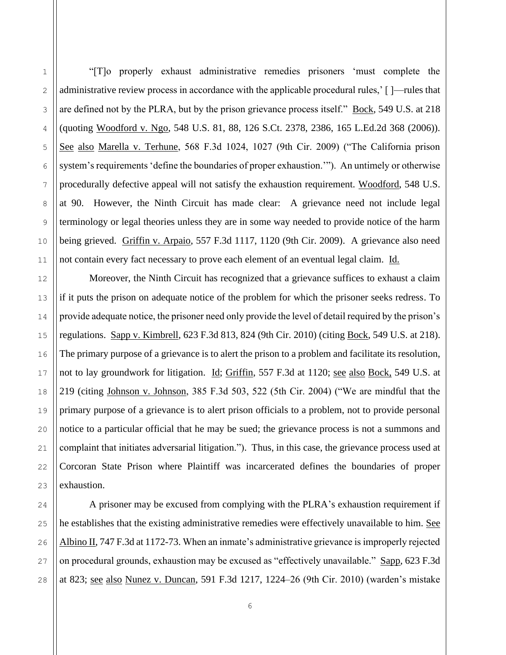"[T]o properly exhaust administrative remedies prisoners 'must complete the administrative review process in accordance with the applicable procedural rules,' [ ]—rules that are defined not by the PLRA, but by the prison grievance process itself." Bock, 549 U.S. at 218 (quoting Woodford v. Ngo, 548 U.S. 81, 88, 126 S.Ct. 2378, 2386, 165 L.Ed.2d 368 (2006)). See also Marella v. Terhune, 568 F.3d 1024, 1027 (9th Cir. 2009) ("The California prison system's requirements 'define the boundaries of proper exhaustion.'"). An untimely or otherwise procedurally defective appeal will not satisfy the exhaustion requirement. Woodford, 548 U.S. at 90. However, the Ninth Circuit has made clear: A grievance need not include legal terminology or legal theories unless they are in some way needed to provide notice of the harm being grieved. Griffin v. Arpaio, 557 F.3d 1117, 1120 (9th Cir. 2009). A grievance also need not contain every fact necessary to prove each element of an eventual legal claim. Id.

Moreover, the Ninth Circuit has recognized that a grievance suffices to exhaust a claim if it puts the prison on adequate notice of the problem for which the prisoner seeks redress. To provide adequate notice, the prisoner need only provide the level of detail required by the prison's regulations. Sapp v. Kimbrell, 623 F.3d 813, 824 (9th Cir. 2010) (citing Bock, 549 U.S. at 218). The primary purpose of a grievance is to alert the prison to a problem and facilitate its resolution, not to lay groundwork for litigation. Id; Griffin, 557 F.3d at 1120; see also Bock, 549 U.S. at 219 (citing Johnson v. Johnson, 385 F.3d 503, 522 (5th Cir. 2004) ("We are mindful that the primary purpose of a grievance is to alert prison officials to a problem, not to provide personal notice to a particular official that he may be sued; the grievance process is not a summons and complaint that initiates adversarial litigation."). Thus, in this case, the grievance process used at Corcoran State Prison where Plaintiff was incarcerated defines the boundaries of proper exhaustion.

A prisoner may be excused from complying with the PLRA's exhaustion requirement if he establishes that the existing administrative remedies were effectively unavailable to him. See Albino II, 747 F.3d at 1172-73. When an inmate's administrative grievance is improperly rejected on procedural grounds, exhaustion may be excused as "effectively unavailable." Sapp, 623 F.3d at 823; see also Nunez v. Duncan, 591 F.3d 1217, 1224–26 (9th Cir. 2010) (warden's mistake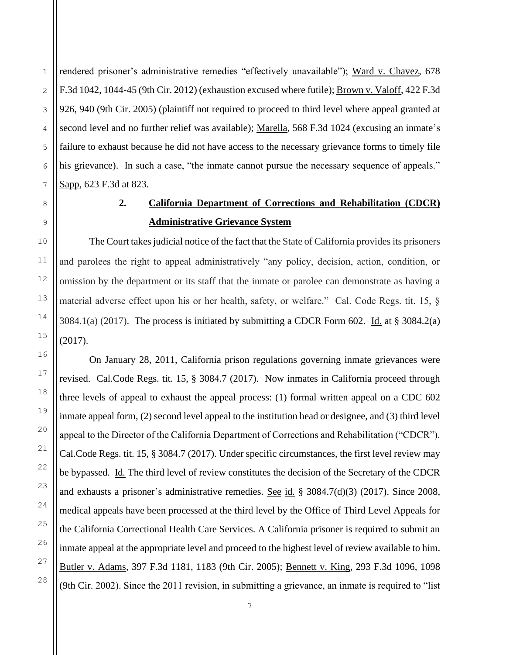rendered prisoner's administrative remedies "effectively unavailable"); Ward v. Chavez, 678 F.3d 1042, 1044-45 (9th Cir. 2012) (exhaustion excused where futile); Brown v. Valoff, 422 F.3d 926, 940 (9th Cir. 2005) (plaintiff not required to proceed to third level where appeal granted at second level and no further relief was available); Marella, 568 F.3d 1024 (excusing an inmate's failure to exhaust because he did not have access to the necessary grievance forms to timely file his grievance). In such a case, "the inmate cannot pursue the necessary sequence of appeals." Sapp, 623 F.3d at 823.

## **2. California Department of Corrections and Rehabilitation (CDCR) Administrative Grievance System**

The Court takes judicial notice of the fact that the State of California provides its prisoners and parolees the right to appeal administratively "any policy, decision, action, condition, or omission by the department or its staff that the inmate or parolee can demonstrate as having a material adverse effect upon his or her health, safety, or welfare." Cal. Code Regs. tit. 15, §  $3084.1(a)$  (2017). The process is initiated by submitting a CDCR Form 602. Id. at § 3084.2(a) (2017).

On January 28, 2011, California prison regulations governing inmate grievances were revised. Cal.Code Regs. tit. 15, § 3084.7 (2017). Now inmates in California proceed through three levels of appeal to exhaust the appeal process: (1) formal written appeal on a CDC 602 inmate appeal form, (2) second level appeal to the institution head or designee, and (3) third level appeal to the Director of the California Department of Corrections and Rehabilitation ("CDCR"). Cal.Code Regs. tit. 15, § 3084.7 (2017). Under specific circumstances, the first level review may be bypassed. Id*.* The third level of review constitutes the decision of the Secretary of the CDCR and exhausts a prisoner's administrative remedies. See id*.* § 3084.7(d)(3) (2017). Since 2008, medical appeals have been processed at the third level by the Office of Third Level Appeals for the California Correctional Health Care Services. A California prisoner is required to submit an inmate appeal at the appropriate level and proceed to the highest level of review available to him. Butler v. Adams*,* 397 F.3d 1181, 1183 (9th Cir. 2005); Bennett v. King*,* 293 F.3d 1096, 1098 (9th Cir. 2002). Since the 2011 revision, in submitting a grievance, an inmate is required to "list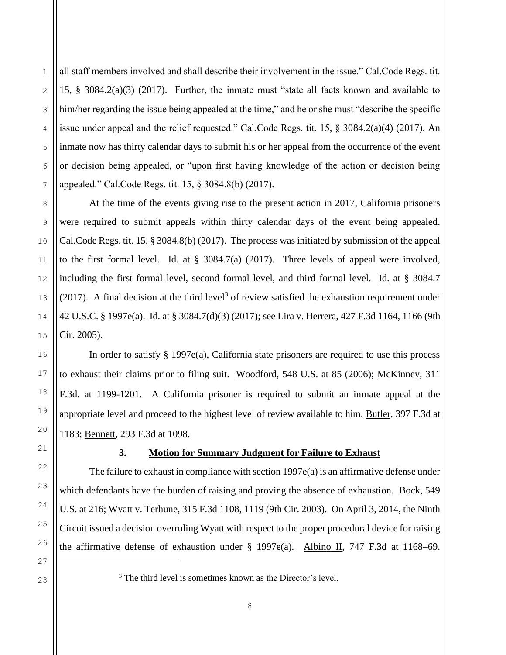all staff members involved and shall describe their involvement in the issue." Cal.Code Regs. tit. 15, § 3084.2(a)(3) (2017). Further, the inmate must "state all facts known and available to him/her regarding the issue being appealed at the time," and he or she must "describe the specific issue under appeal and the relief requested." Cal.Code Regs. tit. 15, § 3084.2(a)(4) (2017). An inmate now has thirty calendar days to submit his or her appeal from the occurrence of the event or decision being appealed, or "upon first having knowledge of the action or decision being appealed." Cal.Code Regs. tit. 15, § 3084.8(b) (2017).

At the time of the events giving rise to the present action in 2017, California prisoners were required to submit appeals within thirty calendar days of the event being appealed. Cal.Code Regs. tit. 15, § 3084.8(b) (2017). The process was initiated by submission of the appeal to the first formal level. Id. at  $\S$  3084.7(a) (2017). Three levels of appeal were involved, including the first formal level, second formal level, and third formal level. Id. at § 3084.7  $(2017)$ . A final decision at the third level<sup>3</sup> of review satisfied the exhaustion requirement under 42 U.S.C. § 1997e(a). Id. at § 3084.7(d)(3) (2017); see Lira v. Herrera, 427 F.3d 1164, 1166 (9th Cir. 2005).

In order to satisfy  $\S$  1997e(a), California state prisoners are required to use this process to exhaust their claims prior to filing suit. Woodford, 548 U.S. at 85 (2006); McKinney, 311 F.3d. at 1199-1201. A California prisoner is required to submit an inmate appeal at the appropriate level and proceed to the highest level of review available to him. Butler, 397 F.3d at 1183; Bennett, 293 F.3d at 1098.

## **3. Motion for Summary Judgment for Failure to Exhaust**

The failure to exhaust in compliance with section  $1997e(a)$  is an affirmative defense under which defendants have the burden of raising and proving the absence of exhaustion. Bock, 549 U.S. at 216; Wyatt v. Terhune, 315 F.3d 1108, 1119 (9th Cir. 2003). On April 3, 2014, the Ninth Circuit issued a decision overruling Wyatt with respect to the proper procedural device for raising the affirmative defense of exhaustion under  $\S$  1997e(a). Albino II, 747 F.3d at 1168–69.

1

2

3

4

5

<sup>&</sup>lt;sup>3</sup> The third level is sometimes known as the Director's level.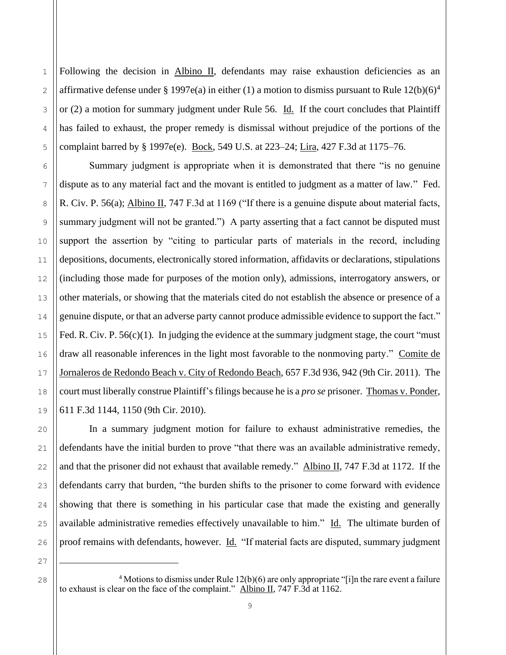Following the decision in Albino II, defendants may raise exhaustion deficiencies as an affirmative defense under § 1997e(a) in either (1) a motion to dismiss pursuant to Rule  $12(b)(6)^4$ or  $(2)$  a motion for summary judgment under Rule 56. Id. If the court concludes that Plaintiff has failed to exhaust, the proper remedy is dismissal without prejudice of the portions of the complaint barred by § 1997e(e). Bock, 549 U.S. at 223–24; Lira, 427 F.3d at 1175–76.

1

2

3

4

5

6

7

8

9

10

11

12

13

14

15

16

17

18

19

20

21

22

23

24

25

26

27

28

Summary judgment is appropriate when it is demonstrated that there "is no genuine dispute as to any material fact and the movant is entitled to judgment as a matter of law." Fed. R. Civ. P. 56(a); Albino II, 747 F.3d at 1169 ("If there is a genuine dispute about material facts, summary judgment will not be granted.") A party asserting that a fact cannot be disputed must support the assertion by "citing to particular parts of materials in the record, including depositions, documents, electronically stored information, affidavits or declarations, stipulations (including those made for purposes of the motion only), admissions, interrogatory answers, or other materials, or showing that the materials cited do not establish the absence or presence of a genuine dispute, or that an adverse party cannot produce admissible evidence to support the fact." Fed. R. Civ. P. 56(c)(1). In judging the evidence at the summary judgment stage, the court "must" draw all reasonable inferences in the light most favorable to the nonmoving party." Comite de Jornaleros de Redondo Beach v. City of Redondo Beach, 657 F.3d 936, 942 (9th Cir. 2011). The court must liberally construe Plaintiff's filings because he is a *pro se* prisoner. Thomas v. Ponder, 611 F.3d 1144, 1150 (9th Cir. 2010).

In a summary judgment motion for failure to exhaust administrative remedies, the defendants have the initial burden to prove "that there was an available administrative remedy, and that the prisoner did not exhaust that available remedy." Albino II, 747 F.3d at 1172. If the defendants carry that burden, "the burden shifts to the prisoner to come forward with evidence showing that there is something in his particular case that made the existing and generally available administrative remedies effectively unavailable to him." Id. The ultimate burden of proof remains with defendants, however. *Id.* "If material facts are disputed, summary judgment

<sup>4</sup> Motions to dismiss under Rule  $12(b)(6)$  are only appropriate "[i]n the rare event a failure to exhaust is clear on the face of the complaint." Albino II,  $747 \text{ F}$ . 3d at 1162.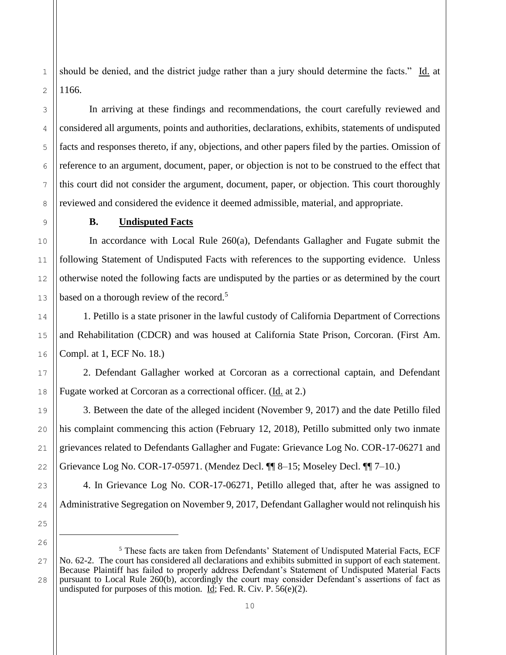should be denied, and the district judge rather than a jury should determine the facts." Id. at 1166.

In arriving at these findings and recommendations, the court carefully reviewed and considered all arguments, points and authorities, declarations, exhibits, statements of undisputed facts and responses thereto, if any, objections, and other papers filed by the parties. Omission of reference to an argument, document, paper, or objection is not to be construed to the effect that this court did not consider the argument, document, paper, or objection. This court thoroughly reviewed and considered the evidence it deemed admissible, material, and appropriate.

13

14

15

16

17

18

19

20

21

22

23

24

25

26

1

2

3

4

5

6

7

## **B. Undisputed Facts**

In accordance with Local Rule 260(a), Defendants Gallagher and Fugate submit the following Statement of Undisputed Facts with references to the supporting evidence. Unless otherwise noted the following facts are undisputed by the parties or as determined by the court based on a thorough review of the record.<sup>5</sup>

1. Petillo is a state prisoner in the lawful custody of California Department of Corrections and Rehabilitation (CDCR) and was housed at California State Prison, Corcoran. (First Am. Compl. at 1, ECF No. 18.)

2. Defendant Gallagher worked at Corcoran as a correctional captain, and Defendant Fugate worked at Corcoran as a correctional officer. (Id. at 2.)

3. Between the date of the alleged incident (November 9, 2017) and the date Petillo filed his complaint commencing this action (February 12, 2018), Petillo submitted only two inmate grievances related to Defendants Gallagher and Fugate: Grievance Log No. COR-17-06271 and Grievance Log No. COR-17-05971. (Mendez Decl. ¶¶ 8–15; Moseley Decl. ¶¶ 7–10.)

4. In Grievance Log No. COR-17-06271, Petillo alleged that, after he was assigned to Administrative Segregation on November 9, 2017, Defendant Gallagher would not relinquish his

<sup>27</sup> 28 <sup>5</sup> These facts are taken from Defendants' Statement of Undisputed Material Facts, ECF No. 62-2. The court has considered all declarations and exhibits submitted in support of each statement. Because Plaintiff has failed to properly address Defendant's Statement of Undisputed Material Facts pursuant to Local Rule 260(b), accordingly the court may consider Defendant's assertions of fact as undisputed for purposes of this motion. Id; Fed. R. Civ. P.  $56(e)(2)$ .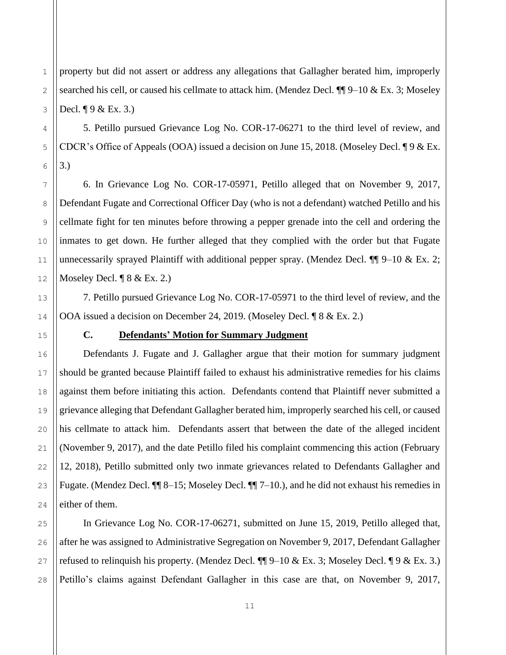property but did not assert or address any allegations that Gallagher berated him, improperly searched his cell, or caused his cellmate to attack him. (Mendez Decl. ¶¶ 9–10 & Ex. 3; Moseley Decl.  $\P$  9 & Ex. 3.)

5. Petillo pursued Grievance Log No. COR-17-06271 to the third level of review, and CDCR's Office of Appeals (OOA) issued a decision on June 15, 2018. (Moseley Decl.  $\P{9 \& Ex.}$ 3.)

6. In Grievance Log No. COR-17-05971, Petillo alleged that on November 9, 2017, Defendant Fugate and Correctional Officer Day (who is not a defendant) watched Petillo and his cellmate fight for ten minutes before throwing a pepper grenade into the cell and ordering the inmates to get down. He further alleged that they complied with the order but that Fugate unnecessarily sprayed Plaintiff with additional pepper spray. (Mendez Decl.  $\P\P$  9–10 & Ex. 2; Moseley Decl. ¶ 8 & Ex. 2.)

7. Petillo pursued Grievance Log No. COR-17-05971 to the third level of review, and the OOA issued a decision on December 24, 2019. (Moseley Decl. ¶ 8 & Ex. 2.)

## **C. Defendants' Motion for Summary Judgment**

Defendants J. Fugate and J. Gallagher argue that their motion for summary judgment should be granted because Plaintiff failed to exhaust his administrative remedies for his claims against them before initiating this action. Defendants contend that Plaintiff never submitted a grievance alleging that Defendant Gallagher berated him, improperly searched his cell, or caused his cellmate to attack him. Defendants assert that between the date of the alleged incident (November 9, 2017), and the date Petillo filed his complaint commencing this action (February 12, 2018), Petillo submitted only two inmate grievances related to Defendants Gallagher and Fugate. (Mendez Decl.  $\P$  8–15; Moseley Decl.  $\P$  7–10.), and he did not exhaust his remedies in either of them.

In Grievance Log No. COR-17-06271, submitted on June 15, 2019, Petillo alleged that, after he was assigned to Administrative Segregation on November 9, 2017, Defendant Gallagher refused to relinquish his property. (Mendez Decl.  $\P\P$ 9–10 & Ex. 3; Moseley Decl.  $\P$ 9 & Ex. 3.) Petillo's claims against Defendant Gallagher in this case are that, on November 9, 2017,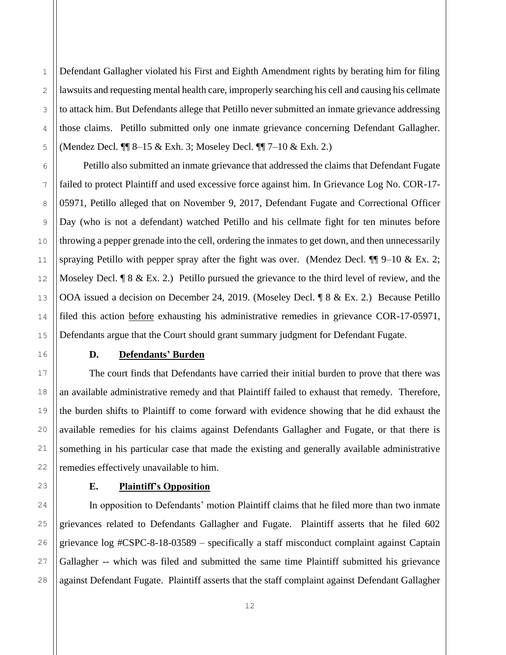Defendant Gallagher violated his First and Eighth Amendment rights by berating him for filing lawsuits and requesting mental health care, improperly searching his cell and causing his cellmate to attack him. But Defendants allege that Petillo never submitted an inmate grievance addressing those claims. Petillo submitted only one inmate grievance concerning Defendant Gallagher. (Mendez Decl. ¶¶ 8–15 & Exh. 3; Moseley Decl. ¶¶ 7–10 & Exh. 2.)

Petillo also submitted an inmate grievance that addressed the claims that Defendant Fugate failed to protect Plaintiff and used excessive force against him. In Grievance Log No. COR-17- 05971, Petillo alleged that on November 9, 2017, Defendant Fugate and Correctional Officer Day (who is not a defendant) watched Petillo and his cellmate fight for ten minutes before throwing a pepper grenade into the cell, ordering the inmates to get down, and then unnecessarily spraying Petillo with pepper spray after the fight was over. (Mendez Decl.  $\P\P$  9–10 & Ex. 2; Moseley Decl.  $\lceil 8 \& Ex. 2 \rceil$  Petillo pursued the grievance to the third level of review, and the OOA issued a decision on December 24, 2019. (Moseley Decl. ¶ 8 & Ex. 2.) Because Petillo filed this action before exhausting his administrative remedies in grievance COR-17-05971, Defendants argue that the Court should grant summary judgment for Defendant Fugate.

## **D. Defendants' Burden**

The court finds that Defendants have carried their initial burden to prove that there was an available administrative remedy and that Plaintiff failed to exhaust that remedy. Therefore, the burden shifts to Plaintiff to come forward with evidence showing that he did exhaust the available remedies for his claims against Defendants Gallagher and Fugate, or that there is something in his particular case that made the existing and generally available administrative remedies effectively unavailable to him.

## **E. Plaintiff's Opposition**

In opposition to Defendants' motion Plaintiff claims that he filed more than two inmate grievances related to Defendants Gallagher and Fugate. Plaintiff asserts that he filed 602 grievance log #CSPC-8-18-03589 – specifically a staff misconduct complaint against Captain Gallagher -- which was filed and submitted the same time Plaintiff submitted his grievance against Defendant Fugate. Plaintiff asserts that the staff complaint against Defendant Gallagher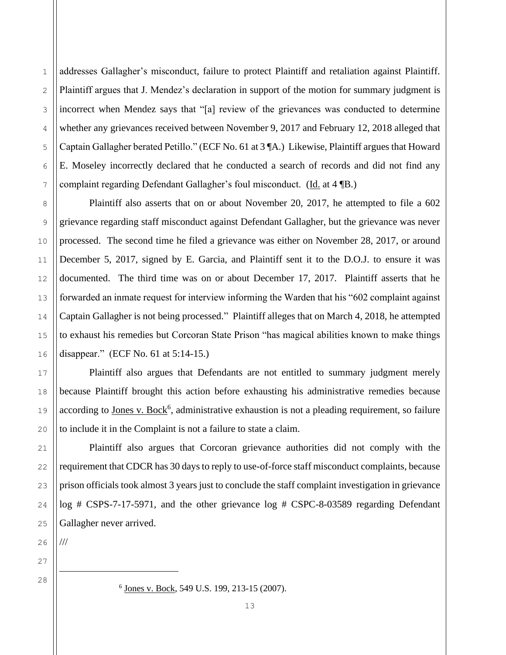addresses Gallagher's misconduct, failure to protect Plaintiff and retaliation against Plaintiff. Plaintiff argues that J. Mendez's declaration in support of the motion for summary judgment is incorrect when Mendez says that "[a] review of the grievances was conducted to determine whether any grievances received between November 9, 2017 and February 12, 2018 alleged that Captain Gallagher berated Petillo." (ECF No. 61 at 3 ¶A.) Likewise, Plaintiff argues that Howard E. Moseley incorrectly declared that he conducted a search of records and did not find any complaint regarding Defendant Gallagher's foul misconduct. (Id. at 4 ¶B.)

Plaintiff also asserts that on or about November 20, 2017, he attempted to file a 602 grievance regarding staff misconduct against Defendant Gallagher, but the grievance was never processed. The second time he filed a grievance was either on November 28, 2017, or around December 5, 2017, signed by E. Garcia, and Plaintiff sent it to the D.O.J. to ensure it was documented. The third time was on or about December 17, 2017. Plaintiff asserts that he forwarded an inmate request for interview informing the Warden that his "602 complaint against Captain Gallagher is not being processed." Plaintiff alleges that on March 4, 2018, he attempted to exhaust his remedies but Corcoran State Prison "has magical abilities known to make things disappear." (ECF No. 61 at 5:14-15.)

Plaintiff also argues that Defendants are not entitled to summary judgment merely because Plaintiff brought this action before exhausting his administrative remedies because according to Jones v. Bock<sup>6</sup>, administrative exhaustion is not a pleading requirement, so failure to include it in the Complaint is not a failure to state a claim.

Plaintiff also argues that Corcoran grievance authorities did not comply with the requirement that CDCR has 30 days to reply to use-of-force staff misconduct complaints, because prison officials took almost 3 years just to conclude the staff complaint investigation in grievance log # CSPS-7-17-5971, and the other grievance log # CSPC-8-03589 regarding Defendant Gallagher never arrived.

26 ///

27 28

1

2

3

4

5

6

7

8

9

10

11

12

13

14

15

16

17

18

19

20

21

22

23

24

<sup>&</sup>lt;sup>6</sup> Jones v. Bock, 549 U.S. 199, 213-15 (2007).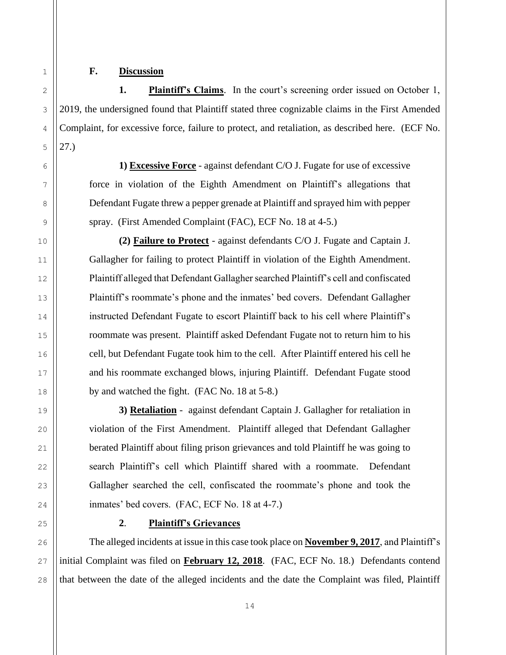#### **F. Discussion**

**1. Plaintiff's Claims**. In the court's screening order issued on October 1, 2019, the undersigned found that Plaintiff stated three cognizable claims in the First Amended Complaint, for excessive force, failure to protect, and retaliation, as described here. (ECF No. 27.)

**1) Excessive Force** - against defendant C/O J. Fugate for use of excessive force in violation of the Eighth Amendment on Plaintiff's allegations that Defendant Fugate threw a pepper grenade at Plaintiff and sprayed him with pepper spray. (First Amended Complaint (FAC), ECF No. 18 at 4-5.)

**(2) Failure to Protect** - against defendants C/O J. Fugate and Captain J. Gallagher for failing to protect Plaintiff in violation of the Eighth Amendment. Plaintiff alleged that Defendant Gallagher searched Plaintiff's cell and confiscated Plaintiff's roommate's phone and the inmates' bed covers. Defendant Gallagher instructed Defendant Fugate to escort Plaintiff back to his cell where Plaintiff's roommate was present. Plaintiff asked Defendant Fugate not to return him to his cell, but Defendant Fugate took him to the cell. After Plaintiff entered his cell he and his roommate exchanged blows, injuring Plaintiff. Defendant Fugate stood by and watched the fight. (FAC No. 18 at 5-8.)

**3) Retaliation** - against defendant Captain J. Gallagher for retaliation in violation of the First Amendment. Plaintiff alleged that Defendant Gallagher berated Plaintiff about filing prison grievances and told Plaintiff he was going to search Plaintiff's cell which Plaintiff shared with a roommate. Defendant Gallagher searched the cell, confiscated the roommate's phone and took the inmates' bed covers. (FAC, ECF No. 18 at 4-7.)

**2**. **Plaintiff's Grievances**

The alleged incidents at issue in this case took place on **November 9, 2017**, and Plaintiff's initial Complaint was filed on **February 12, 2018**. (FAC, ECF No. 18.) Defendants contend that between the date of the alleged incidents and the date the Complaint was filed, Plaintiff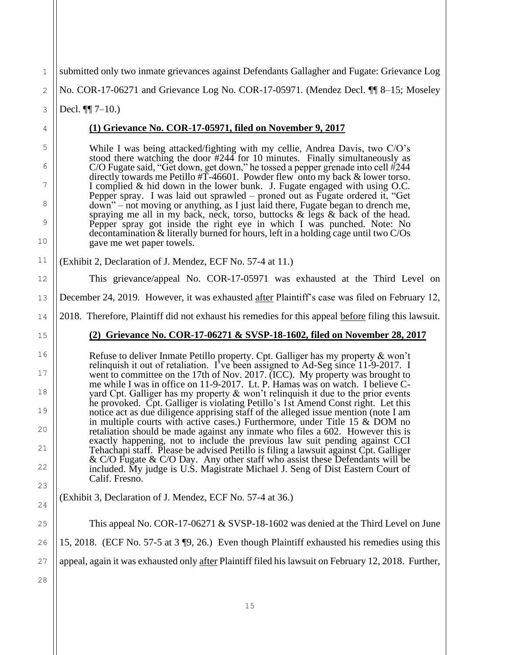| 1       | submitted only two inmate grievances against Defendants Gallagher and Fugate: Grievance Log                                                                                                |
|---------|--------------------------------------------------------------------------------------------------------------------------------------------------------------------------------------------|
|         |                                                                                                                                                                                            |
| 2       | No. COR-17-06271 and Grievance Log No. COR-17-05971. (Mendez Decl. ¶ 8-15; Moseley                                                                                                         |
| 3       | Decl. $\P$ 7-10.)                                                                                                                                                                          |
| 4       | (1) Grievance No. COR-17-05971, filed on November 9, 2017                                                                                                                                  |
| 5       | While I was being attacked/fighting with my cellie, Andrea Davis, two C/O's<br>stood there watching the door $#244$ for 10 minutes. Finally simultaneously as                              |
| 6       | C/O Fugate said, "Get down, get down," he tossed a pepper grenade into cell $#244$<br>directly towards me Petillo $\sharp T$ -46601. Powder flew onto my back & lower torso.               |
| 7       | I complied & hid down in the lower bunk. J. Fugate engaged with using O.C.<br>Pepper spray. I was laid out sprawled – proned out as Fugate ordered it, "Get                                |
| 8       | down" – not moving or anything, as I just laid there, Fugate began to drench me,<br>spraying me all in my back, neck, torso, buttocks $\&$ legs $\&$ back of the head.                     |
| 9<br>10 | Pepper spray got inside the right eye in which I was punched. Note: No<br>decontamination & literally burned for hours, left in a holding cage until two C/Os<br>gave me wet paper towels. |
| 11      | (Exhibit 2, Declaration of J. Mendez, ECF No. 57-4 at 11.)                                                                                                                                 |
| 12      | This grievance/appeal No. COR-17-05971 was exhausted at the Third Level on                                                                                                                 |
| 13      | December 24, 2019. However, it was exhausted after Plaintiff's case was filed on February 12,                                                                                              |
| 14      | 2018. Therefore, Plaintiff did not exhaust his remedies for this appeal before filing this lawsuit.                                                                                        |
|         |                                                                                                                                                                                            |
| 15      | (2) Grievance No. COR-17-06271 & SVSP-18-1602, filed on November 28, 2017                                                                                                                  |
| 16      | Refuse to deliver Inmate Petillo property. Cpt. Galliger has my property & won't                                                                                                           |
| 17      | relinquish it out of retaliation. I've been assigned to Ad-Seg since 11-9-2017. I<br>went to committee on the 17th of Nov. 2017. (ICC). My property was brought to                         |
| 18      | me while I was in office on 11-9-2017. Lt. P. Hamas was on watch. I believe C-<br>yard Cpt. Galliger has my property & won't relinquish it due to the prior events                         |
| 19      | he provoked. Cpt. Galliger is violating Petillo's 1st Amend Const right. Let this<br>notice act as due diligence apprising staff of the alleged issue mention (note I am                   |
| 20      | in multiple courts with active cases.) Furthermore, under Title 15 & DOM no<br>retaliation should be made against any inmate who files a 602. However this is                              |
| 21      | exactly happening, not to include the previous law suit pending against CCI<br>Tehachapi staff. Please be advised Petillo is filing a lawsuit against Cpt. Galliger                        |
| 22      | & C/O Fugate & C/O Day. Any other staff who assist these Defendants will be<br>included. My judge is U.S. Magistrate Michael J. Seng of Dist Eastern Court of                              |
| 23      | Calif. Fresno.                                                                                                                                                                             |
| 24      | (Exhibit 3, Declaration of J. Mendez, ECF No. 57-4 at 36.)                                                                                                                                 |
| 25      | This appeal No. $COR-17-06271 \& SVSP-18-1602$ was denied at the Third Level on June                                                                                                       |
| 26      | 15, 2018. (ECF No. 57-5 at 3 [9, 26.) Even though Plaintiff exhausted his remedies using this                                                                                              |
| 27      | appeal, again it was exhausted only after Plaintiff filed his lawsuit on February 12, 2018. Further,                                                                                       |
| 28      |                                                                                                                                                                                            |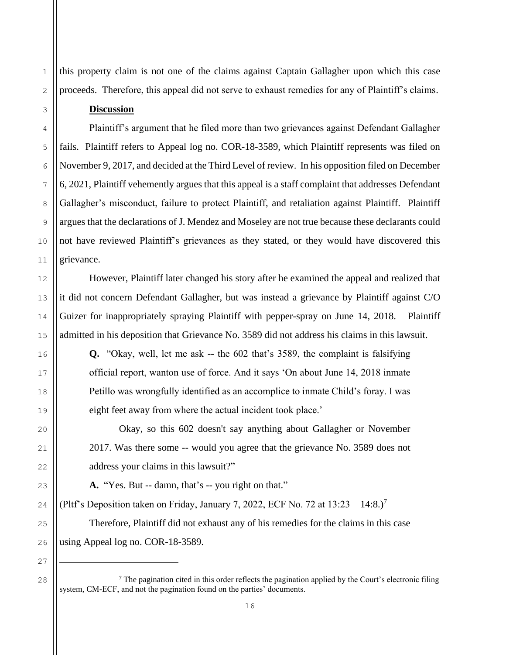this property claim is not one of the claims against Captain Gallagher upon which this case proceeds. Therefore, this appeal did not serve to exhaust remedies for any of Plaintiff's claims.

#### **Discussion**

Plaintiff's argument that he filed more than two grievances against Defendant Gallagher fails. Plaintiff refers to Appeal log no. COR-18-3589, which Plaintiff represents was filed on November 9, 2017, and decided at the Third Level of review. In his opposition filed on December 6, 2021, Plaintiff vehemently argues that this appeal is a staff complaint that addresses Defendant Gallagher's misconduct, failure to protect Plaintiff, and retaliation against Plaintiff. Plaintiff argues that the declarations of J. Mendez and Moseley are not true because these declarants could not have reviewed Plaintiff's grievances as they stated, or they would have discovered this grievance.

However, Plaintiff later changed his story after he examined the appeal and realized that it did not concern Defendant Gallagher, but was instead a grievance by Plaintiff against C/O Guizer for inappropriately spraying Plaintiff with pepper-spray on June 14, 2018. Plaintiff admitted in his deposition that Grievance No. 3589 did not address his claims in this lawsuit.

**Q.** "Okay, well, let me ask -- the 602 that's 3589, the complaint is falsifying official report, wanton use of force. And it says 'On about June 14, 2018 inmate Petillo was wrongfully identified as an accomplice to inmate Child's foray. I was eight feet away from where the actual incident took place.'

Okay, so this 602 doesn't say anything about Gallagher or November 2017. Was there some -- would you agree that the grievance No. 3589 does not address your claims in this lawsuit?"

**A.** "Yes. But -- damn, that's -- you right on that."

(Pltf's Deposition taken on Friday, January 7, 2022, ECF No. 72 at  $13:23 - 14:8$ .)<sup>7</sup>

Therefore, Plaintiff did not exhaust any of his remedies for the claims in this case using Appeal log no. COR-18-3589.

<sup>&</sup>lt;sup>7</sup> The pagination cited in this order reflects the pagination applied by the Court's electronic filing system, CM-ECF, and not the pagination found on the parties' documents.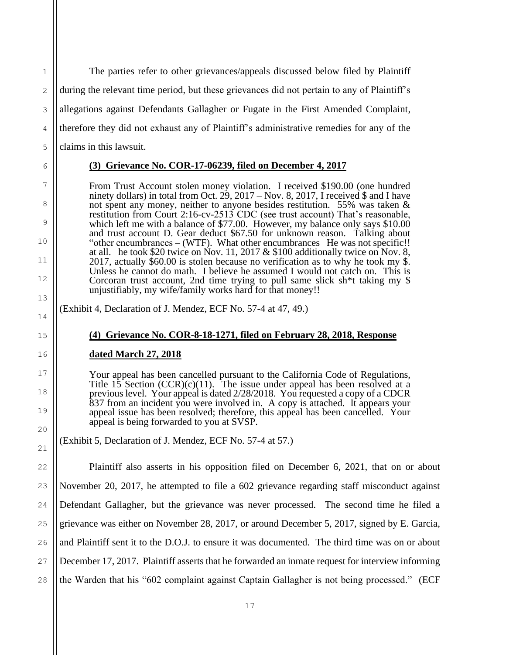The parties refer to other grievances/appeals discussed below filed by Plaintiff during the relevant time period, but these grievances did not pertain to any of Plaintiff's allegations against Defendants Gallagher or Fugate in the First Amended Complaint, therefore they did not exhaust any of Plaintiff's administrative remedies for any of the claims in this lawsuit.

## **(3) Grievance No. COR-17-06239, filed on December 4, 2017**

From Trust Account stolen money violation. I received \$190.00 (one hundred ninety dollars) in total from Oct.  $29$ ,  $2017 - \text{Nov. } 8$ ,  $2017$ , I received \$ and I have not spent any money, neither to anyone besides restitution. 55% was taken & restitution from Court 2:16-cv-2513 CDC (see trust account) That's reasonable, which left me with a balance of \$77.00. However, my balance only says  $$10.00$ and trust account D. Gear deduct \$67.50 for unknown reason. Talking about "other encumbrances – (WTF). What other encumbrances He was not specific!! at all. he took \$20 twice on Nov. 11, 2017 & \$100 additionally twice on Nov. 8, 2017, actually \$60.00 is stolen because no verification as to why he took my \$. Unless he cannot do math. I believe he assumed I would not catch on. This is Corcoran trust account, 2nd time trying to pull same slick sh\*t taking my \$ unjustifiably, my wife/family works hard for that money!!

(Exhibit 4, Declaration of J. Mendez, ECF No. 57-4 at 47, 49.)

## **(4) Grievance No. COR-8-18-1271, filed on February 28, 2018, Response**

**dated March 27, 2018**

Your appeal has been cancelled pursuant to the California Code of Regulations, Title  $15$  Section (CCR)(c)(11). The issue under appeal has been resolved at a previous level. Your appeal is dated 2/28/2018. You requested a copy of a CDCR 837 from an incident you were involved in. A copy is attached. It appears your appeal issue has been resolved; therefore, this appeal has been cancelled. Your appeal is being forwarded to you at SVSP.

(Exhibit 5, Declaration of J. Mendez, ECF No. 57-4 at 57.)

Plaintiff also asserts in his opposition filed on December 6, 2021, that on or about November 20, 2017, he attempted to file a 602 grievance regarding staff misconduct against Defendant Gallagher, but the grievance was never processed. The second time he filed a grievance was either on November 28, 2017, or around December 5, 2017, signed by E. Garcia, and Plaintiff sent it to the D.O.J. to ensure it was documented. The third time was on or about December 17, 2017. Plaintiff asserts that he forwarded an inmate request for interview informing the Warden that his "602 complaint against Captain Gallagher is not being processed." (ECF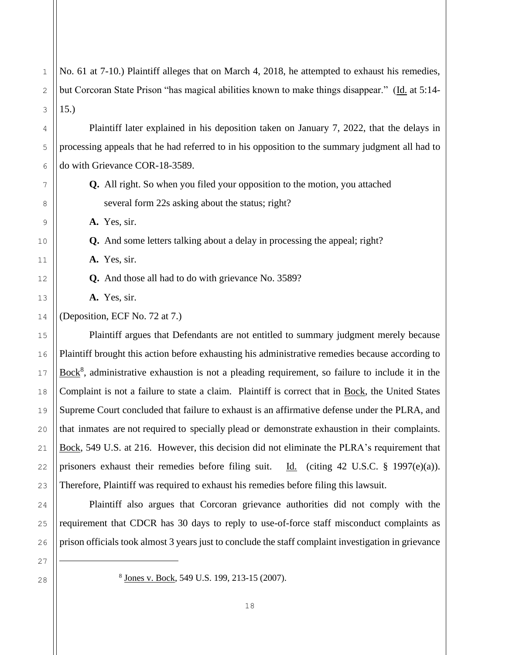No. 61 at 7-10.) Plaintiff alleges that on March 4, 2018, he attempted to exhaust his remedies, but Corcoran State Prison "has magical abilities known to make things disappear." (Id. at 5:14-15.)

Plaintiff later explained in his deposition taken on January 7, 2022, that the delays in processing appeals that he had referred to in his opposition to the summary judgment all had to do with Grievance COR-18-3589.

**Q.** All right. So when you filed your opposition to the motion, you attached several form 22s asking about the status; right?

**A.** Yes, sir.

1

2

3

4

5

6

7

8

9

10

11

12

13

14

15

16

17

18

19

20

21

22

23

24

25

26

27

**Q.** And some letters talking about a delay in processing the appeal; right?

**A.** Yes, sir.

**Q.** And those all had to do with grievance No. 3589?

**A.** Yes, sir.

(Deposition, ECF No. 72 at 7.)

Plaintiff argues that Defendants are not entitled to summary judgment merely because Plaintiff brought this action before exhausting his administrative remedies because according to  $Bock<sup>8</sup>$ , administrative exhaustion is not a pleading requirement, so failure to include it in the Complaint is not a failure to state a claim. Plaintiff is correct that in Bock, the United States Supreme Court concluded that failure to exhaust is an affirmative defense under the PLRA, and that inmates are not required to specially plead or demonstrate exhaustion in their complaints. Bock, 549 U.S. at 216. However, this decision did not eliminate the PLRA's requirement that prisoners exhaust their remedies before filing suit. Id. (citing 42 U.S.C. § 1997(e)(a)). Therefore, Plaintiff was required to exhaust his remedies before filing this lawsuit.

Plaintiff also argues that Corcoran grievance authorities did not comply with the requirement that CDCR has 30 days to reply to use-of-force staff misconduct complaints as prison officials took almost 3 years just to conclude the staff complaint investigation in grievance

<sup>&</sup>lt;sup>8</sup> Jones v. Bock, 549 U.S. 199, 213-15 (2007).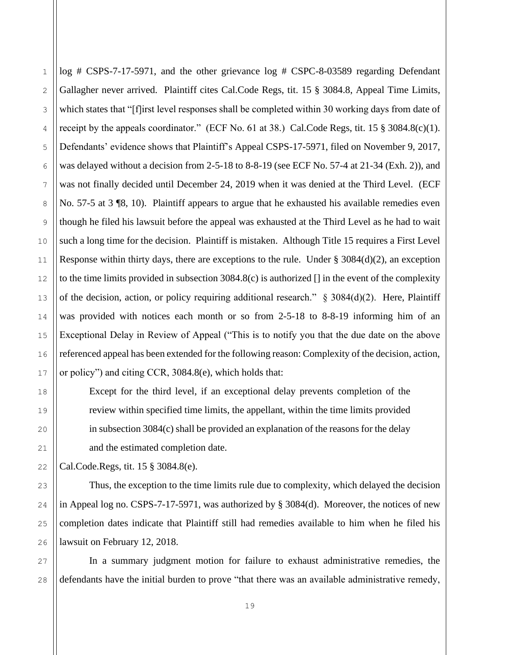1

2

log # CSPS-7-17-5971, and the other grievance log # CSPC-8-03589 regarding Defendant Gallagher never arrived. Plaintiff cites Cal.Code Regs, tit. 15 § 3084.8, Appeal Time Limits, which states that "[f]irst level responses shall be completed within 30 working days from date of receipt by the appeals coordinator." (ECF No. 61 at 38.) Cal.Code Regs, tit. 15 § 3084.8(c)(1). Defendants' evidence shows that Plaintiff's Appeal CSPS-17-5971, filed on November 9, 2017, was delayed without a decision from 2-5-18 to 8-8-19 (see ECF No. 57-4 at  $21-34$  (Exh. 2)), and was not finally decided until December 24, 2019 when it was denied at the Third Level. (ECF No. 57-5 at 3 ¶8, 10). Plaintiff appears to argue that he exhausted his available remedies even though he filed his lawsuit before the appeal was exhausted at the Third Level as he had to wait such a long time for the decision. Plaintiff is mistaken. Although Title 15 requires a First Level Response within thirty days, there are exceptions to the rule. Under  $\S 3084(d)(2)$ , an exception to the time limits provided in subsection 3084.8(c) is authorized [] in the event of the complexity of the decision, action, or policy requiring additional research."  $\S$  3084(d)(2). Here, Plaintiff was provided with notices each month or so from 2-5-18 to 8-8-19 informing him of an Exceptional Delay in Review of Appeal ("This is to notify you that the due date on the above referenced appeal has been extended for the following reason: Complexity of the decision, action, or policy") and citing CCR, 3084.8(e), which holds that:

Except for the third level, if an exceptional delay prevents completion of the review within specified time limits, the appellant, within the time limits provided in subsection 3084(c) shall be provided an explanation of the reasons for the delay and the estimated completion date.

Cal.Code.Regs, tit. 15 § 3084.8(e).

Thus, the exception to the time limits rule due to complexity, which delayed the decision in Appeal log no. CSPS-7-17-5971, was authorized by § 3084(d). Moreover, the notices of new completion dates indicate that Plaintiff still had remedies available to him when he filed his lawsuit on February 12, 2018.

In a summary judgment motion for failure to exhaust administrative remedies, the defendants have the initial burden to prove "that there was an available administrative remedy,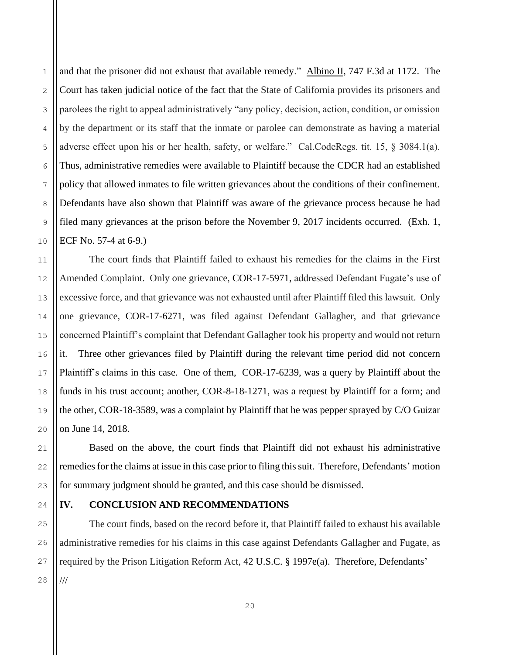and that the prisoner did not exhaust that available remedy." Albino II, 747 F.3d at 1172. The Court has taken judicial notice of the fact that the State of California provides its prisoners and parolees the right to appeal administratively "any policy, decision, action, condition, or omission by the department or its staff that the inmate or parolee can demonstrate as having a material adverse effect upon his or her health, safety, or welfare." Cal.CodeRegs. tit. 15, § 3084.1(a). Thus, administrative remedies were available to Plaintiff because the CDCR had an established policy that allowed inmates to file written grievances about the conditions of their confinement. Defendants have also shown that Plaintiff was aware of the grievance process because he had filed many grievances at the prison before the November 9, 2017 incidents occurred. (Exh. 1, ECF No. 57-4 at 6-9.)

The court finds that Plaintiff failed to exhaust his remedies for the claims in the First Amended Complaint. Only one grievance, COR-17-5971, addressed Defendant Fugate's use of excessive force, and that grievance was not exhausted until after Plaintiff filed this lawsuit. Only one grievance, COR-17-6271, was filed against Defendant Gallagher, and that grievance concerned Plaintiff's complaint that Defendant Gallagher took his property and would not return it. Three other grievances filed by Plaintiff during the relevant time period did not concern Plaintiff's claims in this case. One of them, COR-17-6239, was a query by Plaintiff about the funds in his trust account; another, COR-8-18-1271, was a request by Plaintiff for a form; and the other, COR-18-3589, was a complaint by Plaintiff that he was pepper sprayed by C/O Guizar on June 14, 2018.

Based on the above, the court finds that Plaintiff did not exhaust his administrative remedies for the claims at issue in this case prior to filing this suit. Therefore, Defendants' motion for summary judgment should be granted, and this case should be dismissed.

#### 24

## **IV. CONCLUSION AND RECOMMENDATIONS**

The court finds, based on the record before it, that Plaintiff failed to exhaust his available administrative remedies for his claims in this case against Defendants Gallagher and Fugate, as required by the Prison Litigation Reform Act, 42 U.S.C. § 1997e(a). Therefore, Defendants' ///

1

2

3